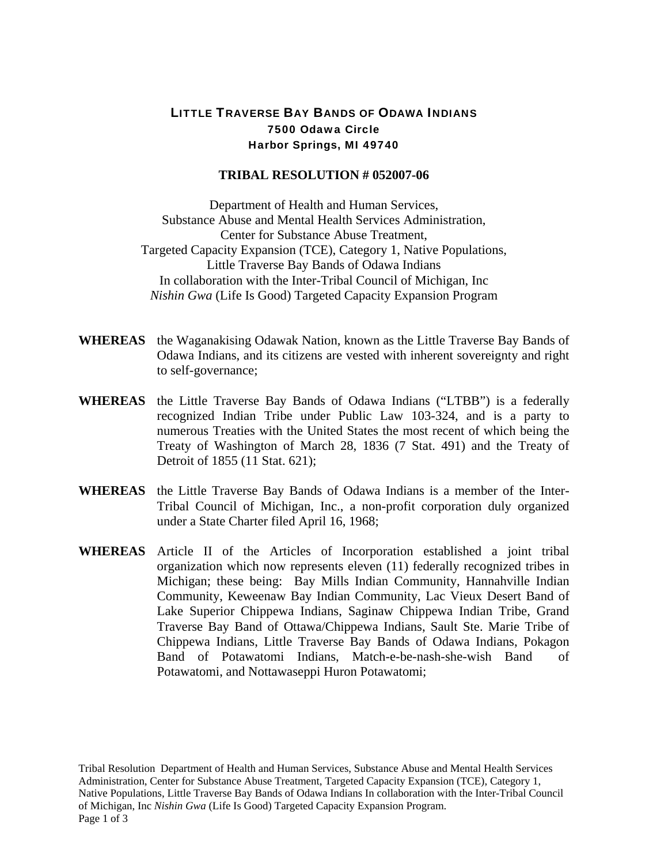## LITTLE TRAVERSE BAY BANDS OF ODAWA INDIANS 7500 Odawa Circle Harbor Springs, MI 49740

## **TRIBAL RESOLUTION # 052007-06**

Department of Health and Human Services, Substance Abuse and Mental Health Services Administration, Center for Substance Abuse Treatment, Targeted Capacity Expansion (TCE), Category 1, Native Populations, Little Traverse Bay Bands of Odawa Indians In collaboration with the Inter-Tribal Council of Michigan, Inc *Nishin Gwa* (Life Is Good) Targeted Capacity Expansion Program

- **WHEREAS** the Waganakising Odawak Nation, known as the Little Traverse Bay Bands of Odawa Indians, and its citizens are vested with inherent sovereignty and right to self-governance;
- **WHEREAS** the Little Traverse Bay Bands of Odawa Indians ("LTBB") is a federally recognized Indian Tribe under Public Law 103-324, and is a party to numerous Treaties with the United States the most recent of which being the Treaty of Washington of March 28, 1836 (7 Stat. 491) and the Treaty of Detroit of 1855 (11 Stat. 621);
- **WHEREAS** the Little Traverse Bay Bands of Odawa Indians is a member of the Inter-Tribal Council of Michigan, Inc., a non-profit corporation duly organized under a State Charter filed April 16, 1968;
- **WHEREAS** Article II of the Articles of Incorporation established a joint tribal organization which now represents eleven (11) federally recognized tribes in Michigan; these being: Bay Mills Indian Community, Hannahville Indian Community, Keweenaw Bay Indian Community, Lac Vieux Desert Band of Lake Superior Chippewa Indians, Saginaw Chippewa Indian Tribe, Grand Traverse Bay Band of Ottawa/Chippewa Indians, Sault Ste. Marie Tribe of Chippewa Indians, Little Traverse Bay Bands of Odawa Indians, Pokagon Band of Potawatomi Indians, Match-e-be-nash-she-wish Band of Potawatomi, and Nottawaseppi Huron Potawatomi;

Tribal Resolution Department of Health and Human Services, Substance Abuse and Mental Health Services Administration, Center for Substance Abuse Treatment, Targeted Capacity Expansion (TCE), Category 1, Native Populations, Little Traverse Bay Bands of Odawa Indians In collaboration with the Inter-Tribal Council of Michigan, Inc *Nishin Gwa* (Life Is Good) Targeted Capacity Expansion Program. Page 1 of 3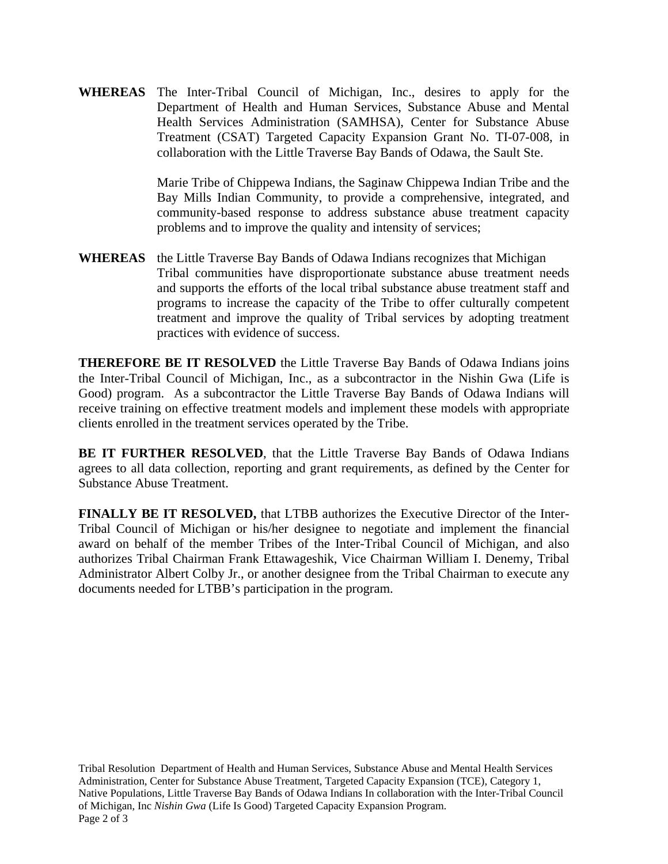**WHEREAS** The Inter-Tribal Council of Michigan, Inc., desires to apply for the Department of Health and Human Services, Substance Abuse and Mental Health Services Administration (SAMHSA), Center for Substance Abuse Treatment (CSAT) Targeted Capacity Expansion Grant No. TI-07-008, in collaboration with the Little Traverse Bay Bands of Odawa, the Sault Ste.

> Marie Tribe of Chippewa Indians, the Saginaw Chippewa Indian Tribe and the Bay Mills Indian Community, to provide a comprehensive, integrated, and community-based response to address substance abuse treatment capacity problems and to improve the quality and intensity of services;

**WHEREAS** the Little Traverse Bay Bands of Odawa Indians recognizes that Michigan Tribal communities have disproportionate substance abuse treatment needs and supports the efforts of the local tribal substance abuse treatment staff and programs to increase the capacity of the Tribe to offer culturally competent treatment and improve the quality of Tribal services by adopting treatment practices with evidence of success.

**THEREFORE BE IT RESOLVED** the Little Traverse Bay Bands of Odawa Indians joins the Inter-Tribal Council of Michigan, Inc., as a subcontractor in the Nishin Gwa (Life is Good) program. As a subcontractor the Little Traverse Bay Bands of Odawa Indians will receive training on effective treatment models and implement these models with appropriate clients enrolled in the treatment services operated by the Tribe.

**BE IT FURTHER RESOLVED**, that the Little Traverse Bay Bands of Odawa Indians agrees to all data collection, reporting and grant requirements, as defined by the Center for Substance Abuse Treatment.

**FINALLY BE IT RESOLVED,** that LTBB authorizes the Executive Director of the Inter-Tribal Council of Michigan or his/her designee to negotiate and implement the financial award on behalf of the member Tribes of the Inter-Tribal Council of Michigan, and also authorizes Tribal Chairman Frank Ettawageshik, Vice Chairman William I. Denemy, Tribal Administrator Albert Colby Jr., or another designee from the Tribal Chairman to execute any documents needed for LTBB's participation in the program.

Tribal Resolution Department of Health and Human Services, Substance Abuse and Mental Health Services Administration, Center for Substance Abuse Treatment, Targeted Capacity Expansion (TCE), Category 1, Native Populations, Little Traverse Bay Bands of Odawa Indians In collaboration with the Inter-Tribal Council of Michigan, Inc *Nishin Gwa* (Life Is Good) Targeted Capacity Expansion Program. Page 2 of 3